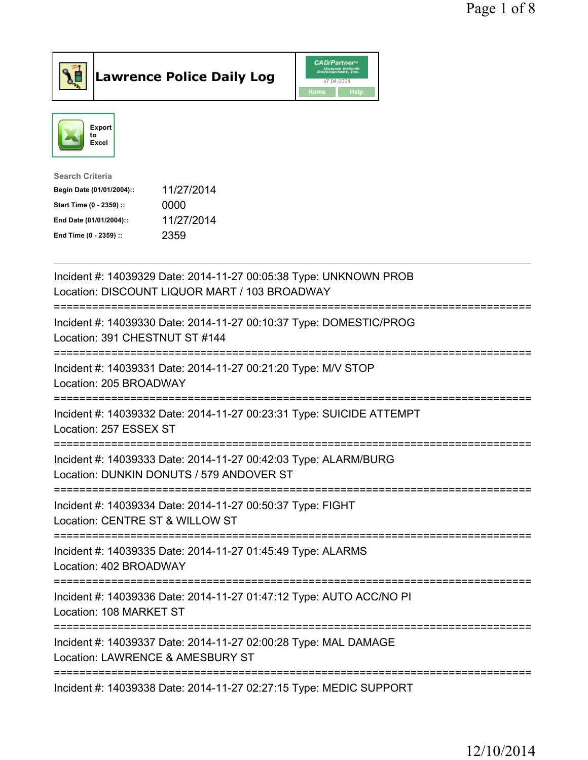



| 11/27/2014 |
|------------|
| 0000       |
| 11/27/2014 |
| 2359       |
|            |

| Incident #: 14039329 Date: 2014-11-27 00:05:38 Type: UNKNOWN PROB<br>Location: DISCOUNT LIQUOR MART / 103 BROADWAY                   |
|--------------------------------------------------------------------------------------------------------------------------------------|
| Incident #: 14039330 Date: 2014-11-27 00:10:37 Type: DOMESTIC/PROG<br>Location: 391 CHESTNUT ST #144                                 |
| Incident #: 14039331 Date: 2014-11-27 00:21:20 Type: M/V STOP<br>Location: 205 BROADWAY                                              |
| Incident #: 14039332 Date: 2014-11-27 00:23:31 Type: SUICIDE ATTEMPT<br>Location: 257 ESSEX ST<br>---------------                    |
| Incident #: 14039333 Date: 2014-11-27 00:42:03 Type: ALARM/BURG<br>Location: DUNKIN DONUTS / 579 ANDOVER ST<br>--------------------- |
| Incident #: 14039334 Date: 2014-11-27 00:50:37 Type: FIGHT<br>Location: CENTRE ST & WILLOW ST                                        |
| Incident #: 14039335 Date: 2014-11-27 01:45:49 Type: ALARMS<br>Location: 402 BROADWAY<br>=================                           |
| Incident #: 14039336 Date: 2014-11-27 01:47:12 Type: AUTO ACC/NO PI<br>Location: 108 MARKET ST<br>------------                       |
| Incident #: 14039337 Date: 2014-11-27 02:00:28 Type: MAL DAMAGE<br>Location: LAWRENCE & AMESBURY ST                                  |
| Incident #: 14039338 Date: 2014-11-27 02:27:15 Type: MEDIC SUPPORT                                                                   |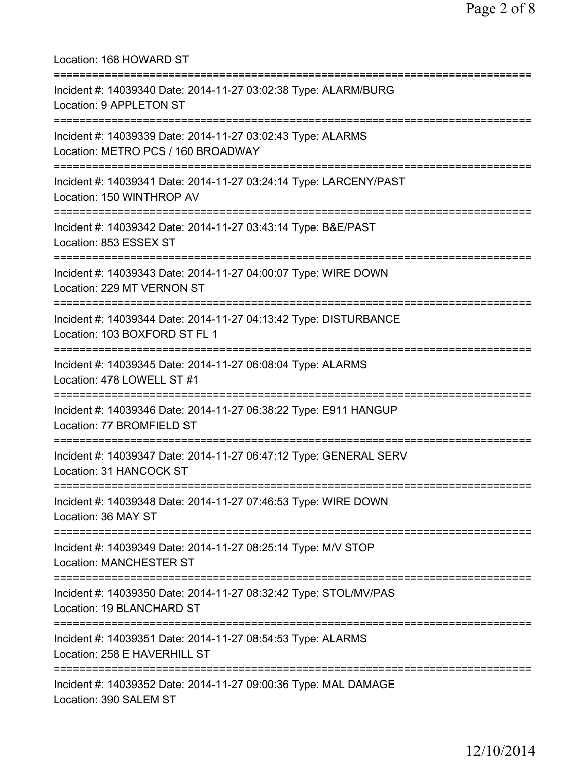| Location: 168 HOWARD ST                                                                                                                    |
|--------------------------------------------------------------------------------------------------------------------------------------------|
| Incident #: 14039340 Date: 2014-11-27 03:02:38 Type: ALARM/BURG<br>Location: 9 APPLETON ST                                                 |
| Incident #: 14039339 Date: 2014-11-27 03:02:43 Type: ALARMS<br>Location: METRO PCS / 160 BROADWAY<br>===================================== |
| Incident #: 14039341 Date: 2014-11-27 03:24:14 Type: LARCENY/PAST<br>Location: 150 WINTHROP AV                                             |
| :================================<br>Incident #: 14039342 Date: 2014-11-27 03:43:14 Type: B&E/PAST<br>Location: 853 ESSEX ST               |
| ==============================<br>Incident #: 14039343 Date: 2014-11-27 04:00:07 Type: WIRE DOWN<br>Location: 229 MT VERNON ST             |
| Incident #: 14039344 Date: 2014-11-27 04:13:42 Type: DISTURBANCE<br>Location: 103 BOXFORD ST FL 1                                          |
| Incident #: 14039345 Date: 2014-11-27 06:08:04 Type: ALARMS<br>Location: 478 LOWELL ST #1                                                  |
| Incident #: 14039346 Date: 2014-11-27 06:38:22 Type: E911 HANGUP<br>Location: 77 BROMFIELD ST                                              |
| Incident #: 14039347 Date: 2014-11-27 06:47:12 Type: GENERAL SERV<br>Location: 31 HANCOCK ST                                               |
| Incident #: 14039348 Date: 2014-11-27 07:46:53 Type: WIRE DOWN<br>Location: 36 MAY ST                                                      |
| Incident #: 14039349 Date: 2014-11-27 08:25:14 Type: M/V STOP<br><b>Location: MANCHESTER ST</b>                                            |
| ===============================<br>Incident #: 14039350 Date: 2014-11-27 08:32:42 Type: STOL/MV/PAS<br>Location: 19 BLANCHARD ST           |
| =========================<br>Incident #: 14039351 Date: 2014-11-27 08:54:53 Type: ALARMS<br>Location: 258 E HAVERHILL ST                   |
| Incident #: 14039352 Date: 2014-11-27 09:00:36 Type: MAL DAMAGE<br>Location: 390 SALEM ST                                                  |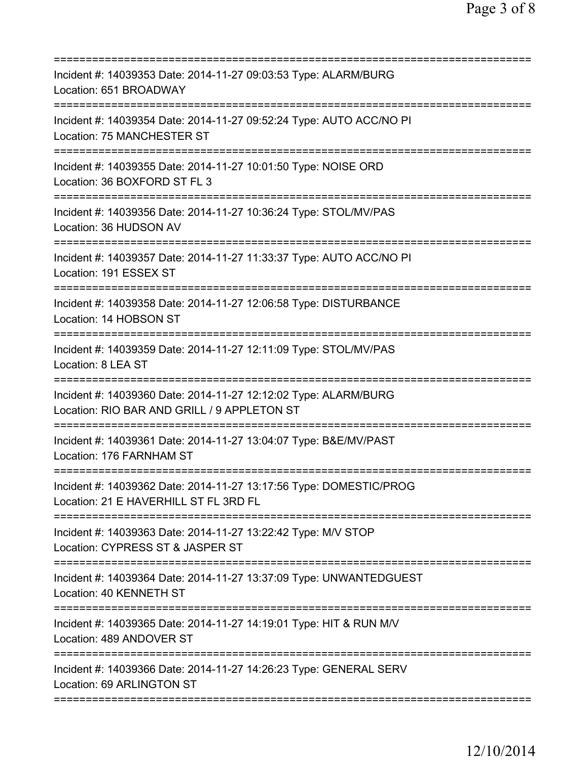| Incident #: 14039353 Date: 2014-11-27 09:03:53 Type: ALARM/BURG<br>Location: 651 BROADWAY                                            |
|--------------------------------------------------------------------------------------------------------------------------------------|
| Incident #: 14039354 Date: 2014-11-27 09:52:24 Type: AUTO ACC/NO PI<br>Location: 75 MANCHESTER ST                                    |
| Incident #: 14039355 Date: 2014-11-27 10:01:50 Type: NOISE ORD<br>Location: 36 BOXFORD ST FL 3                                       |
| Incident #: 14039356 Date: 2014-11-27 10:36:24 Type: STOL/MV/PAS<br>Location: 36 HUDSON AV                                           |
| Incident #: 14039357 Date: 2014-11-27 11:33:37 Type: AUTO ACC/NO PI<br>Location: 191 ESSEX ST                                        |
| Incident #: 14039358 Date: 2014-11-27 12:06:58 Type: DISTURBANCE<br>Location: 14 HOBSON ST<br>====================================== |
| Incident #: 14039359 Date: 2014-11-27 12:11:09 Type: STOL/MV/PAS<br>Location: 8 LEA ST<br>:======================                    |
| Incident #: 14039360 Date: 2014-11-27 12:12:02 Type: ALARM/BURG<br>Location: RIO BAR AND GRILL / 9 APPLETON ST                       |
| Incident #: 14039361 Date: 2014-11-27 13:04:07 Type: B&E/MV/PAST<br>Location: 176 FARNHAM ST                                         |
| Incident #: 14039362 Date: 2014-11-27 13:17:56 Type: DOMESTIC/PROG<br>Location: 21 E HAVERHILL ST FL 3RD FL                          |
| Incident #: 14039363 Date: 2014-11-27 13:22:42 Type: M/V STOP<br>Location: CYPRESS ST & JASPER ST                                    |
| Incident #: 14039364 Date: 2014-11-27 13:37:09 Type: UNWANTEDGUEST<br>Location: 40 KENNETH ST                                        |
| Incident #: 14039365 Date: 2014-11-27 14:19:01 Type: HIT & RUN M/V<br>Location: 489 ANDOVER ST                                       |
| Incident #: 14039366 Date: 2014-11-27 14:26:23 Type: GENERAL SERV<br>Location: 69 ARLINGTON ST                                       |
|                                                                                                                                      |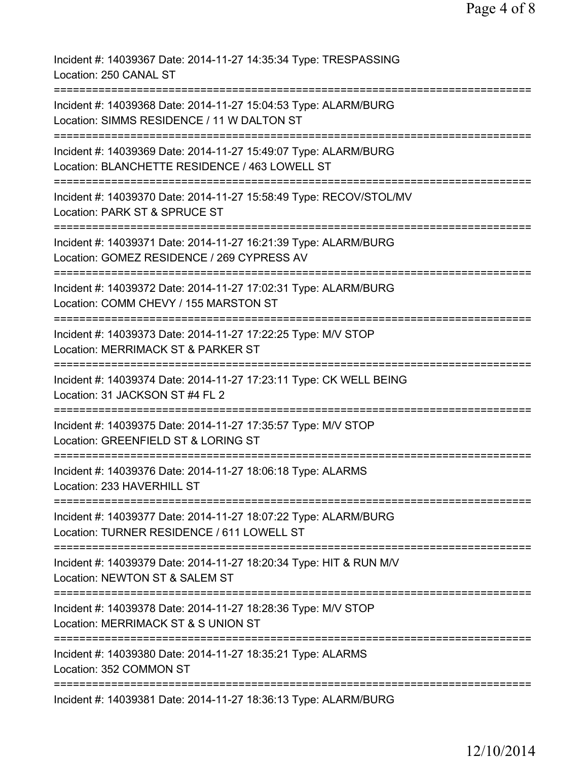Incident #: 14039367 Date: 2014-11-27 14:35:34 Type: TRESPASSING Location: 250 CANAL ST =========================================================================== Incident #: 14039368 Date: 2014-11-27 15:04:53 Type: ALARM/BURG Location: SIMMS RESIDENCE / 11 W DALTON ST =========================================================================== Incident #: 14039369 Date: 2014-11-27 15:49:07 Type: ALARM/BURG Location: BLANCHETTE RESIDENCE / 463 LOWELL ST =========================================================================== Incident #: 14039370 Date: 2014-11-27 15:58:49 Type: RECOV/STOL/MV Location: PARK ST & SPRUCE ST =========================================================================== Incident #: 14039371 Date: 2014-11-27 16:21:39 Type: ALARM/BURG Location: GOMEZ RESIDENCE / 269 CYPRESS AV =========================================================================== Incident #: 14039372 Date: 2014-11-27 17:02:31 Type: ALARM/BURG Location: COMM CHEVY / 155 MARSTON ST =========================================================================== Incident #: 14039373 Date: 2014-11-27 17:22:25 Type: M/V STOP Location: MERRIMACK ST & PARKER ST =========================================================================== Incident #: 14039374 Date: 2014-11-27 17:23:11 Type: CK WELL BEING Location: 31 JACKSON ST #4 FL 2 =========================================================================== Incident #: 14039375 Date: 2014-11-27 17:35:57 Type: M/V STOP Location: GREENFIELD ST & LORING ST =========================================================================== Incident #: 14039376 Date: 2014-11-27 18:06:18 Type: ALARMS Location: 233 HAVERHILL ST =========================================================================== Incident #: 14039377 Date: 2014-11-27 18:07:22 Type: ALARM/BURG Location: TURNER RESIDENCE / 611 LOWELL ST =========================================================================== Incident #: 14039379 Date: 2014-11-27 18:20:34 Type: HIT & RUN M/V Location: NEWTON ST & SALEM ST =========================================================================== Incident #: 14039378 Date: 2014-11-27 18:28:36 Type: M/V STOP Location: MERRIMACK ST & S UNION ST =========================================================================== Incident #: 14039380 Date: 2014-11-27 18:35:21 Type: ALARMS Location: 352 COMMON ST =========================================================================== Incident #: 14039381 Date: 2014-11-27 18:36:13 Type: ALARM/BURG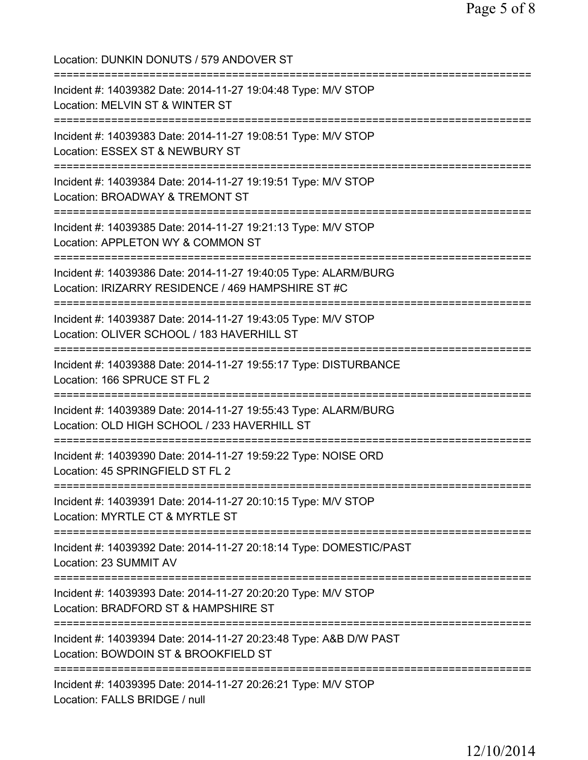| Location: DUNKIN DONUTS / 579 ANDOVER ST                                                                                             |
|--------------------------------------------------------------------------------------------------------------------------------------|
| Incident #: 14039382 Date: 2014-11-27 19:04:48 Type: M/V STOP<br>Location: MELVIN ST & WINTER ST                                     |
| Incident #: 14039383 Date: 2014-11-27 19:08:51 Type: M/V STOP<br>Location: ESSEX ST & NEWBURY ST                                     |
| Incident #: 14039384 Date: 2014-11-27 19:19:51 Type: M/V STOP<br>Location: BROADWAY & TREMONT ST                                     |
| :=============================<br>Incident #: 14039385 Date: 2014-11-27 19:21:13 Type: M/V STOP<br>Location: APPLETON WY & COMMON ST |
| Incident #: 14039386 Date: 2014-11-27 19:40:05 Type: ALARM/BURG<br>Location: IRIZARRY RESIDENCE / 469 HAMPSHIRE ST #C                |
| Incident #: 14039387 Date: 2014-11-27 19:43:05 Type: M/V STOP<br>Location: OLIVER SCHOOL / 183 HAVERHILL ST                          |
| Incident #: 14039388 Date: 2014-11-27 19:55:17 Type: DISTURBANCE<br>Location: 166 SPRUCE ST FL 2                                     |
| Incident #: 14039389 Date: 2014-11-27 19:55:43 Type: ALARM/BURG<br>Location: OLD HIGH SCHOOL / 233 HAVERHILL ST                      |
| Incident #: 14039390 Date: 2014-11-27 19:59:22 Type: NOISE ORD<br>Location: 45 SPRINGFIELD ST FL 2                                   |
| Incident #: 14039391 Date: 2014-11-27 20:10:15 Type: M/V STOP<br>Location: MYRTLE CT & MYRTLE ST                                     |
| Incident #: 14039392 Date: 2014-11-27 20:18:14 Type: DOMESTIC/PAST<br>Location: 23 SUMMIT AV                                         |
| Incident #: 14039393 Date: 2014-11-27 20:20:20 Type: M/V STOP<br>Location: BRADFORD ST & HAMPSHIRE ST                                |
| Incident #: 14039394 Date: 2014-11-27 20:23:48 Type: A&B D/W PAST<br>Location: BOWDOIN ST & BROOKFIELD ST                            |
| Incident #: 14039395 Date: 2014-11-27 20:26:21 Type: M/V STOP<br>Location: FALLS BRIDGE / null                                       |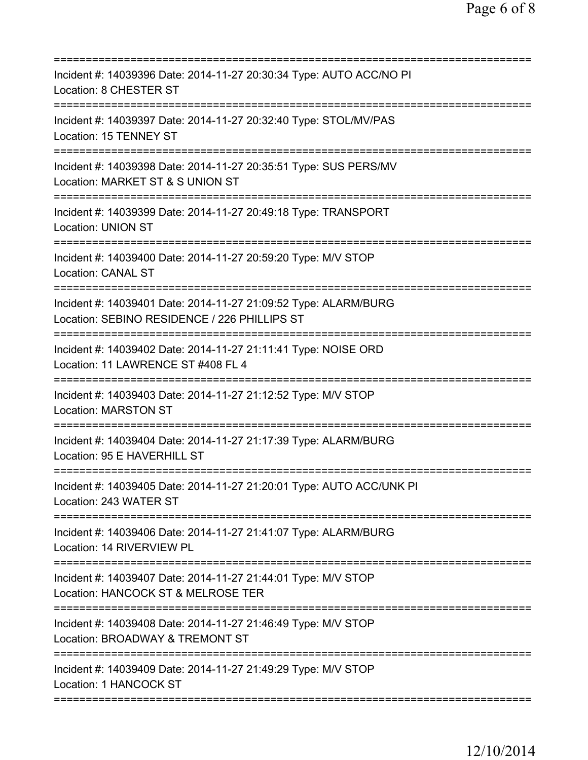| Incident #: 14039396 Date: 2014-11-27 20:30:34 Type: AUTO ACC/NO PI<br>Location: 8 CHESTER ST                                       |
|-------------------------------------------------------------------------------------------------------------------------------------|
| Incident #: 14039397 Date: 2014-11-27 20:32:40 Type: STOL/MV/PAS<br>Location: 15 TENNEY ST                                          |
| Incident #: 14039398 Date: 2014-11-27 20:35:51 Type: SUS PERS/MV<br>Location: MARKET ST & S UNION ST<br>==========================  |
| Incident #: 14039399 Date: 2014-11-27 20:49:18 Type: TRANSPORT<br><b>Location: UNION ST</b>                                         |
| Incident #: 14039400 Date: 2014-11-27 20:59:20 Type: M/V STOP<br><b>Location: CANAL ST</b><br>===================================== |
| Incident #: 14039401 Date: 2014-11-27 21:09:52 Type: ALARM/BURG<br>Location: SEBINO RESIDENCE / 226 PHILLIPS ST                     |
| Incident #: 14039402 Date: 2014-11-27 21:11:41 Type: NOISE ORD<br>Location: 11 LAWRENCE ST #408 FL 4                                |
| Incident #: 14039403 Date: 2014-11-27 21:12:52 Type: M/V STOP<br><b>Location: MARSTON ST</b>                                        |
| Incident #: 14039404 Date: 2014-11-27 21:17:39 Type: ALARM/BURG<br>Location: 95 E HAVERHILL ST                                      |
| Incident #: 14039405 Date: 2014-11-27 21:20:01 Type: AUTO ACC/UNK PI<br>Location: 243 WATER ST                                      |
| Incident #: 14039406 Date: 2014-11-27 21:41:07 Type: ALARM/BURG<br>Location: 14 RIVERVIEW PL                                        |
| Incident #: 14039407 Date: 2014-11-27 21:44:01 Type: M/V STOP<br>Location: HANCOCK ST & MELROSE TER                                 |
| Incident #: 14039408 Date: 2014-11-27 21:46:49 Type: M/V STOP<br>Location: BROADWAY & TREMONT ST                                    |
| Incident #: 14039409 Date: 2014-11-27 21:49:29 Type: M/V STOP<br>Location: 1 HANCOCK ST                                             |
|                                                                                                                                     |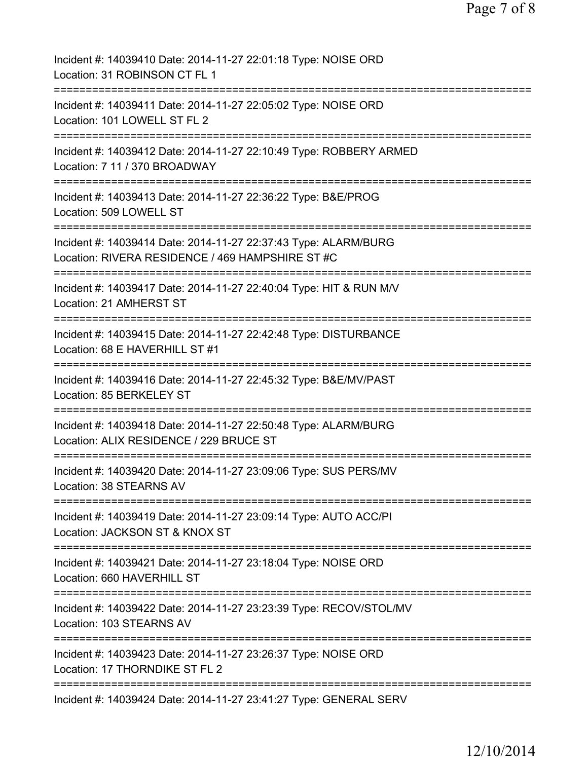| Incident #: 14039410 Date: 2014-11-27 22:01:18 Type: NOISE ORD<br>Location: 31 ROBINSON CT FL 1                                                               |
|---------------------------------------------------------------------------------------------------------------------------------------------------------------|
| Incident #: 14039411 Date: 2014-11-27 22:05:02 Type: NOISE ORD<br>Location: 101 LOWELL ST FL 2                                                                |
| Incident #: 14039412 Date: 2014-11-27 22:10:49 Type: ROBBERY ARMED<br>Location: 7 11 / 370 BROADWAY                                                           |
| Incident #: 14039413 Date: 2014-11-27 22:36:22 Type: B&E/PROG<br>Location: 509 LOWELL ST                                                                      |
| ======================================<br>Incident #: 14039414 Date: 2014-11-27 22:37:43 Type: ALARM/BURG<br>Location: RIVERA RESIDENCE / 469 HAMPSHIRE ST #C |
| Incident #: 14039417 Date: 2014-11-27 22:40:04 Type: HIT & RUN M/V<br>Location: 21 AMHERST ST                                                                 |
| ---------------<br>Incident #: 14039415 Date: 2014-11-27 22:42:48 Type: DISTURBANCE<br>Location: 68 E HAVERHILL ST #1                                         |
| Incident #: 14039416 Date: 2014-11-27 22:45:32 Type: B&E/MV/PAST<br>Location: 85 BERKELEY ST                                                                  |
| ============<br>Incident #: 14039418 Date: 2014-11-27 22:50:48 Type: ALARM/BURG<br>Location: ALIX RESIDENCE / 229 BRUCE ST                                    |
| Incident #: 14039420 Date: 2014-11-27 23:09:06 Type: SUS PERS/MV<br>Location: 38 STEARNS AV                                                                   |
| Incident #: 14039419 Date: 2014-11-27 23:09:14 Type: AUTO ACC/PI<br>Location: JACKSON ST & KNOX ST                                                            |
| ==========================<br>Incident #: 14039421 Date: 2014-11-27 23:18:04 Type: NOISE ORD<br>Location: 660 HAVERHILL ST                                    |
| Incident #: 14039422 Date: 2014-11-27 23:23:39 Type: RECOV/STOL/MV<br>Location: 103 STEARNS AV                                                                |
| Incident #: 14039423 Date: 2014-11-27 23:26:37 Type: NOISE ORD<br>Location: 17 THORNDIKE ST FL 2                                                              |
| Incident #: 14039424 Date: 2014-11-27 23:41:27 Type: GENERAL SERV                                                                                             |